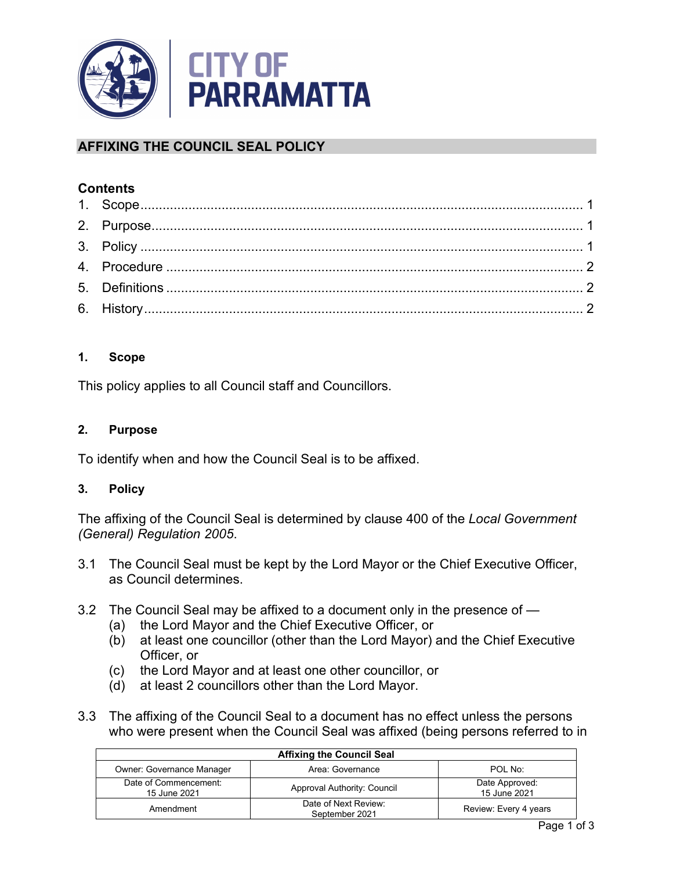

# **AFFIXING THE COUNCIL SEAL POLICY**

## **Contents**

## <span id="page-0-0"></span>**1. Scope**

This policy applies to all Council staff and Councillors.

### <span id="page-0-1"></span>**2. Purpose**

To identify when and how the Council Seal is to be affixed.

### <span id="page-0-2"></span>**3. Policy**

The affixing of the Council Seal is determined by clause 400 of the *Local Government (General) Regulation 2005*.

- 3.1 The Council Seal must be kept by the Lord Mayor or the Chief Executive Officer, as Council determines.
- 3.2 The Council Seal may be affixed to a document only in the presence of
	- (a) the Lord Mayor and the Chief Executive Officer, or
	- (b) at least one councillor (other than the Lord Mayor) and the Chief Executive Officer, or
	- (c) the Lord Mayor and at least one other councillor, or
	- (d) at least 2 councillors other than the Lord Mayor.
- 3.3 The affixing of the Council Seal to a document has no effect unless the persons who were present when the Council Seal was affixed (being persons referred to in

| <b>Affixing the Council Seal</b>      |                                        |                                |  |  |
|---------------------------------------|----------------------------------------|--------------------------------|--|--|
| <b>Owner: Governance Manager</b>      | Area: Governance                       | POL No:                        |  |  |
| Date of Commencement:<br>15 June 2021 | Approval Authority: Council            | Date Approved:<br>15 June 2021 |  |  |
| Amendment                             | Date of Next Review:<br>September 2021 | Review: Every 4 years          |  |  |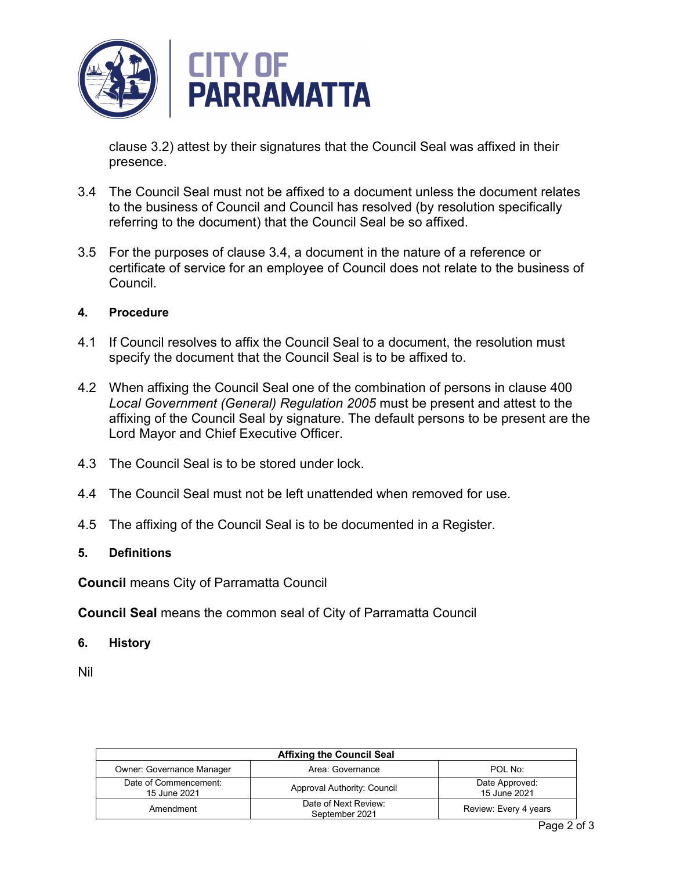

clause 3.2) attest by their signatures that the Council Seal was affixed in their presence.

- 3.4 The Council Seal must not be affixed to a document unless the document relates to the business of Council and Council has resolved (by resolution specifically referring to the document) that the Council Seal be so affixed.
- 3.5 For the purposes of clause 3.4, a document in the nature of a reference or certificate of service for an employee of Council does not relate to the business of Council.

#### <span id="page-1-0"></span>**4. Procedure**

- 4.1 If Council resolves to affix the Council Seal to a document, the resolution must specify the document that the Council Seal is to be affixed to.
- 4.2 When affixing the Council Seal one of the combination of persons in clause 400 *Local Government (General) Regulation 2005* must be present and attest to the affixing of the Council Seal by signature. The default persons to be present are the Lord Mayor and Chief Executive Officer.
- 4.3 The Council Seal is to be stored under lock.
- 4.4 The Council Seal must not be left unattended when removed for use.
- 4.5 The affixing of the Council Seal is to be documented in a Register.

#### <span id="page-1-1"></span>**5. Definitions**

**Council** means City of Parramatta Council

**Council Seal** means the common seal of City of Parramatta Council

<span id="page-1-2"></span>**6. History** 

Nil

| <b>Affixing the Council Seal</b>      |                                        |                                |  |  |
|---------------------------------------|----------------------------------------|--------------------------------|--|--|
| <b>Owner: Governance Manager</b>      | Area: Governance                       | POL No:                        |  |  |
| Date of Commencement:<br>15 June 2021 | Approval Authority: Council            | Date Approved:<br>15 June 2021 |  |  |
| Amendment                             | Date of Next Review:<br>September 2021 | Review: Every 4 years          |  |  |